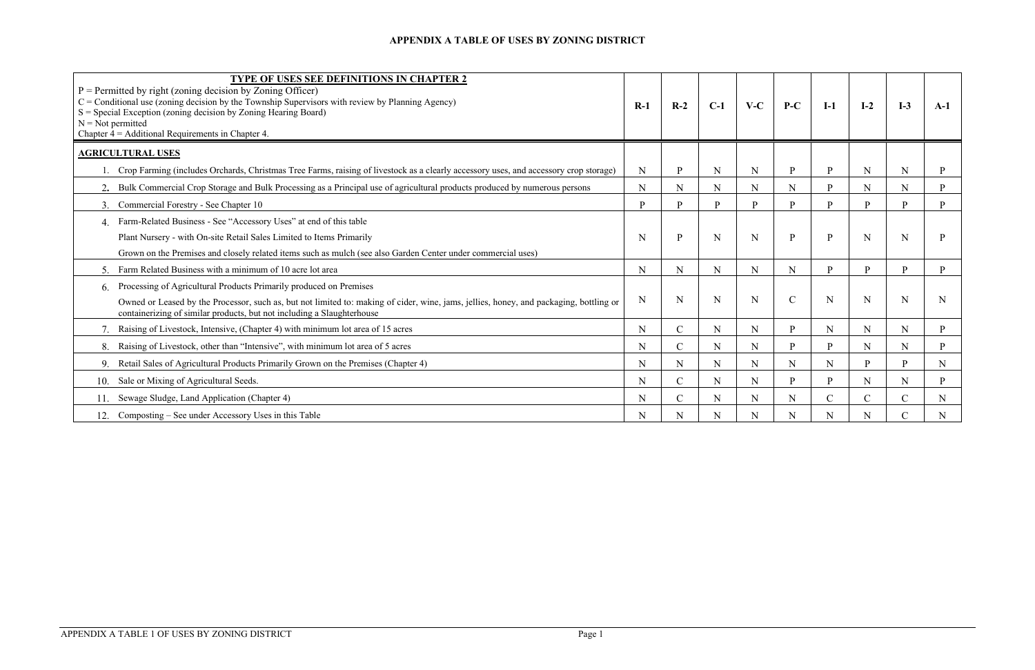| <b>TYPE OF USES SEE DEFINITIONS IN CHAPTER 2</b><br>$P =$ Permitted by right (zoning decision by Zoning Officer)<br>$C =$ Conditional use (zoning decision by the Township Supervisors with review by Planning Agency)<br>$S = Special Exception (zoning decision by Zoning Hearing Board)$<br>$N = Not$ permitted<br>Chapter $4 =$ Additional Requirements in Chapter 4. | $R-1$       | $R-2$         | $C-1$        | $V-C$       | $P-C$         | $I-1$         | $I-2$ | $I-3$         | $A-1$       |
|---------------------------------------------------------------------------------------------------------------------------------------------------------------------------------------------------------------------------------------------------------------------------------------------------------------------------------------------------------------------------|-------------|---------------|--------------|-------------|---------------|---------------|-------|---------------|-------------|
| <b>AGRICULTURAL USES</b>                                                                                                                                                                                                                                                                                                                                                  |             |               |              |             |               |               |       |               |             |
| 1. Crop Farming (includes Orchards, Christmas Tree Farms, raising of livestock as a clearly accessory uses, and accessory crop storage)                                                                                                                                                                                                                                   | $\mathbf N$ | P             | $\mathbf N$  | $\mathbf N$ | $\, {\bf p}$  | P             | N     | N             |             |
| 2. Bulk Commercial Crop Storage and Bulk Processing as a Principal use of agricultural products produced by numerous persons                                                                                                                                                                                                                                              | ${\bf N}$   | N             | $\mathbf N$  | N           | N             | <b>p</b>      | N     | ${\bf N}$     | P.          |
| 3. Commercial Forestry - See Chapter 10                                                                                                                                                                                                                                                                                                                                   | P           | D             | $\mathbf{P}$ | D           | D             | <b>p</b>      | D     | <b>p</b>      | <b>p</b>    |
| Farm-Related Business - See "Accessory Uses" at end of this table                                                                                                                                                                                                                                                                                                         |             |               |              |             |               |               |       |               |             |
| Plant Nursery - with On-site Retail Sales Limited to Items Primarily                                                                                                                                                                                                                                                                                                      | N           | D             | N            | N           | P             | P             |       | N             |             |
| Grown on the Premises and closely related items such as mulch (see also Garden Center under commercial uses)                                                                                                                                                                                                                                                              |             |               |              |             |               |               |       |               |             |
| Farm Related Business with a minimum of 10 acre lot area                                                                                                                                                                                                                                                                                                                  | ${\bf N}$   | N             | ${\bf N}$    | $\mathbf N$ | ${\bf N}$     | <b>p</b>      | D     | <b>p</b>      | D           |
| 6. Processing of Agricultural Products Primarily produced on Premises<br>Owned or Leased by the Processor, such as, but not limited to: making of cider, wine, jams, jellies, honey, and packaging, bottling or<br>containerizing of similar products, but not including a Slaughterhouse                                                                                 | $\mathbf N$ | N             | N            | N           | $\mathcal{C}$ | N             |       | N             | N           |
| Raising of Livestock, Intensive, (Chapter 4) with minimum lot area of 15 acres                                                                                                                                                                                                                                                                                            | $\mathbf N$ | $\mathsf{C}$  | $\mathbf N$  | N           | P             | N             |       | $\mathbf N$   | P           |
| Raising of Livestock, other than "Intensive", with minimum lot area of 5 acres<br>8.                                                                                                                                                                                                                                                                                      | N           | $\mathbf C$   | N            | N           | P             | <b>p</b>      | N     | ${\bf N}$     | <b>p</b>    |
| Retail Sales of Agricultural Products Primarily Grown on the Premises (Chapter 4)<br>9.                                                                                                                                                                                                                                                                                   | $\mathbf N$ | N             | $\mathbf N$  | $\mathbf N$ | $\mathbf N$   | N             | D     | D             | $\mathbf N$ |
| Sale or Mixing of Agricultural Seeds.<br>10.                                                                                                                                                                                                                                                                                                                              | N           | $\mathbf C$   | $\mathbf N$  | N           | D             | <b>p</b>      |       | N             | P           |
| 11. Sewage Sludge, Land Application (Chapter 4)                                                                                                                                                                                                                                                                                                                           | N           | $\mathcal{C}$ | N            | N           | N             | $\mathcal{C}$ |       | $\mathcal{C}$ | N           |
| 12. Composting – See under Accessory Uses in this Table                                                                                                                                                                                                                                                                                                                   | ${\bf N}$   | N             | $\mathbf N$  | N           | N             | N             |       | $\mathbf C$   | $\mathbf N$ |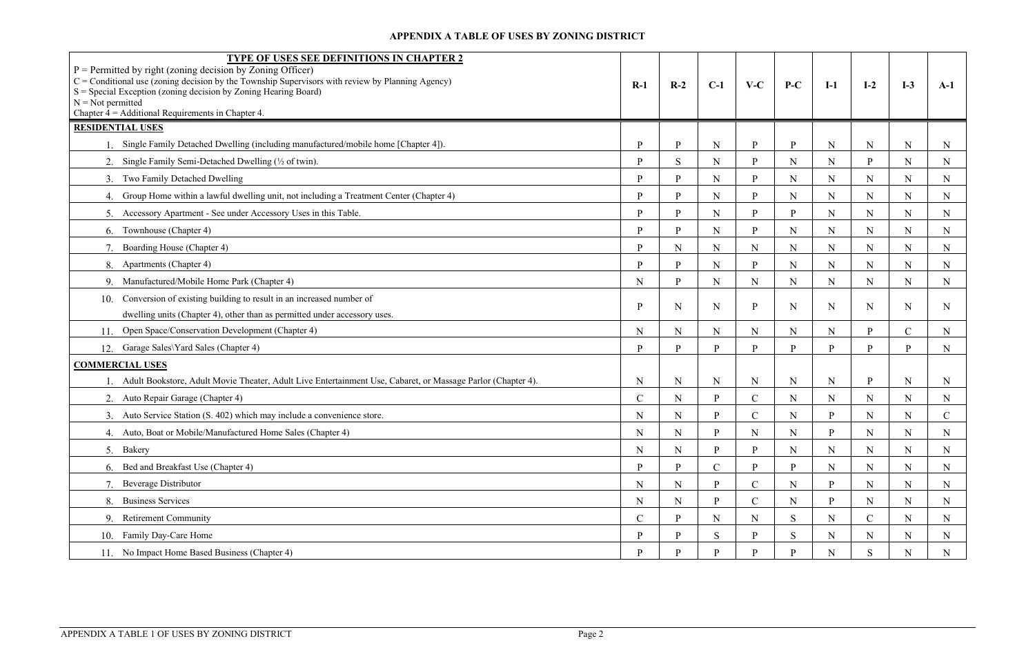| $P =$ Permitted by right (zoning decision by Zoning Officer)<br>$C =$ Conditional use (zoning decision by the Township Supervisors with review by Planning Agency)<br>$S = Special Exception (zoning decision by Zoning Hearing Board)$<br>$N = Not$ permitted<br>Chapter $4 =$ Additional Requirements in Chapter 4. | TYPE OF USES SEE DEFINITIONS IN CHAPTER 2                                                                   | $R-1$         | $R-2$       | $C-1$       | $V-C$         | $P-C$        | $I-1$ | $I-2$       | $I-3$        | $A-1$         |
|-----------------------------------------------------------------------------------------------------------------------------------------------------------------------------------------------------------------------------------------------------------------------------------------------------------------------|-------------------------------------------------------------------------------------------------------------|---------------|-------------|-------------|---------------|--------------|-------|-------------|--------------|---------------|
| <b>RESIDENTIAL USES</b>                                                                                                                                                                                                                                                                                               |                                                                                                             |               |             |             |               |              |       |             |              |               |
| 1. Single Family Detached Dwelling (including manufactured/mobile home [Chapter 4]).                                                                                                                                                                                                                                  |                                                                                                             | P             | D           | $\mathbf N$ | P             | P            | N     | ${\bf N}$   | ${\bf N}$    | N             |
| Single Family Semi-Detached Dwelling (1/2 of twin).                                                                                                                                                                                                                                                                   |                                                                                                             | P             | S           | ${\bf N}$   | P             | ${\bf N}$    | N     | P.          | $\mathbf N$  | N             |
| Two Family Detached Dwelling<br>3.                                                                                                                                                                                                                                                                                    |                                                                                                             | D             |             | $\mathbf N$ | D             | $\mathbf N$  | N     | $\mathbf N$ | $\mathbf N$  | N             |
| Group Home within a lawful dwelling unit, not including a Treatment Center (Chapter 4)<br>4.                                                                                                                                                                                                                          |                                                                                                             | D             | D           | ${\bf N}$   | D             | $\mathbf N$  | N     | N           | $\mathbf N$  | N             |
| Accessory Apartment - See under Accessory Uses in this Table.<br>5.                                                                                                                                                                                                                                                   |                                                                                                             | P             | D           | ${\bf N}$   | <b>p</b>      | $\mathbf{p}$ | N     | N           | $\mathbf N$  | N             |
| 6. Townhouse (Chapter 4)                                                                                                                                                                                                                                                                                              |                                                                                                             | P             |             | $\mathbf N$ | D             | $\mathbf N$  | N     | $\mathbf N$ | $\mathbf N$  | N             |
| Boarding House (Chapter 4)                                                                                                                                                                                                                                                                                            |                                                                                                             | D             | $\mathbf N$ | $\mathbf N$ | $\mathbf N$   | $\mathbf N$  | N     | N           | $\mathbf N$  | $\mathbf N$   |
| Apartments (Chapter 4)<br>8.                                                                                                                                                                                                                                                                                          |                                                                                                             | P             | D           | ${\bf N}$   | D             | $\mathbf N$  | N     | $\mathbf N$ | $\mathbf N$  | N             |
| Manufactured/Mobile Home Park (Chapter 4)<br>9                                                                                                                                                                                                                                                                        |                                                                                                             | $\mathbf N$   | D           | ${\bf N}$   | $\mathbf N$   | $\mathbf N$  | N     | ${\bf N}$   | $\mathbf N$  | $\mathbf N$   |
| Conversion of existing building to result in an increased number of<br>10.                                                                                                                                                                                                                                            |                                                                                                             |               |             |             |               |              |       |             |              |               |
| dwelling units (Chapter 4), other than as permitted under accessory uses.                                                                                                                                                                                                                                             |                                                                                                             | P             | N           | $\mathbf N$ | P             | N            | N     | N           | N            | N             |
| Open Space/Conservation Development (Chapter 4)<br>11.                                                                                                                                                                                                                                                                |                                                                                                             | N             | N           | $\mathbf N$ | $\mathbf N$   | $\mathbf N$  | N     | <b>D</b>    | $\mathbf{C}$ | N             |
| Garage Sales\Yard Sales (Chapter 4)<br>12.                                                                                                                                                                                                                                                                            |                                                                                                             | D             | D           | <b>p</b>    | D             | P            | D     | D           | P.           | N             |
| <b>COMMERCIAL USES</b>                                                                                                                                                                                                                                                                                                |                                                                                                             |               |             |             |               |              |       |             |              |               |
|                                                                                                                                                                                                                                                                                                                       | Adult Bookstore, Adult Movie Theater, Adult Live Entertainment Use, Cabaret, or Massage Parlor (Chapter 4). | N             | $\mathbf N$ | ${\bf N}$   | $\mathbf N$   | ${\bf N}$    | N     | P           | $\mathbf N$  | N             |
| Auto Repair Garage (Chapter 4)<br>2.                                                                                                                                                                                                                                                                                  |                                                                                                             | $\mathcal{C}$ | $\mathbf N$ | P           | $\mathcal{C}$ | $\mathbf N$  | N     | N           | $\mathbf N$  | N             |
| Auto Service Station (S. 402) which may include a convenience store.                                                                                                                                                                                                                                                  |                                                                                                             | ${\bf N}$     | N           | P           | $\mathbf C$   | N            | P     | N           | $\mathbf N$  | $\mathcal{C}$ |
| Auto, Boat or Mobile/Manufactured Home Sales (Chapter 4)                                                                                                                                                                                                                                                              |                                                                                                             | N             | N           | P           | N             | N            |       | N           | N            | $\mathbb N$   |
| 5. Bakery                                                                                                                                                                                                                                                                                                             |                                                                                                             | ${\bf N}$     | $\mathbf N$ | <b>p</b>    | D             | ${\bf N}$    | N     | $\mathbf N$ | $\mathbf N$  | N             |
| 6. Bed and Breakfast Use (Chapter 4)                                                                                                                                                                                                                                                                                  |                                                                                                             | P             | D           | $\mathbf C$ | P.            | P            | N     | $\mathbf N$ | $\mathbf N$  | N             |
| <b>Beverage Distributor</b><br>7.                                                                                                                                                                                                                                                                                     |                                                                                                             | $\mathbf N$   | $\mathbf N$ | P           | $\mathcal{C}$ | $\mathbf N$  | P     | $\mathbf N$ | ${\bf N}$    | N             |
| <b>Business Services</b><br>8.                                                                                                                                                                                                                                                                                        |                                                                                                             | $\mathbf N$   | $\mathbf N$ | P           | $\mathbf C$   | $\mathbf N$  | P     | $\mathbf N$ | ${\bf N}$    | N             |
| <b>Retirement Community</b><br>9.                                                                                                                                                                                                                                                                                     |                                                                                                             | $\mathbf C$   |             | $\mathbf N$ | N             | S            | N     |             | $\mathbf N$  | N             |
| Family Day-Care Home<br>10.                                                                                                                                                                                                                                                                                           |                                                                                                             | P             | D           | S           | D             | S            | N     | ${\bf N}$   | $\mathbf N$  | N             |
| 11. No Impact Home Based Business (Chapter 4)                                                                                                                                                                                                                                                                         |                                                                                                             | P             | D           | P           | D             | P            | N     | S           | ${\bf N}$    | $N_{\rm}$     |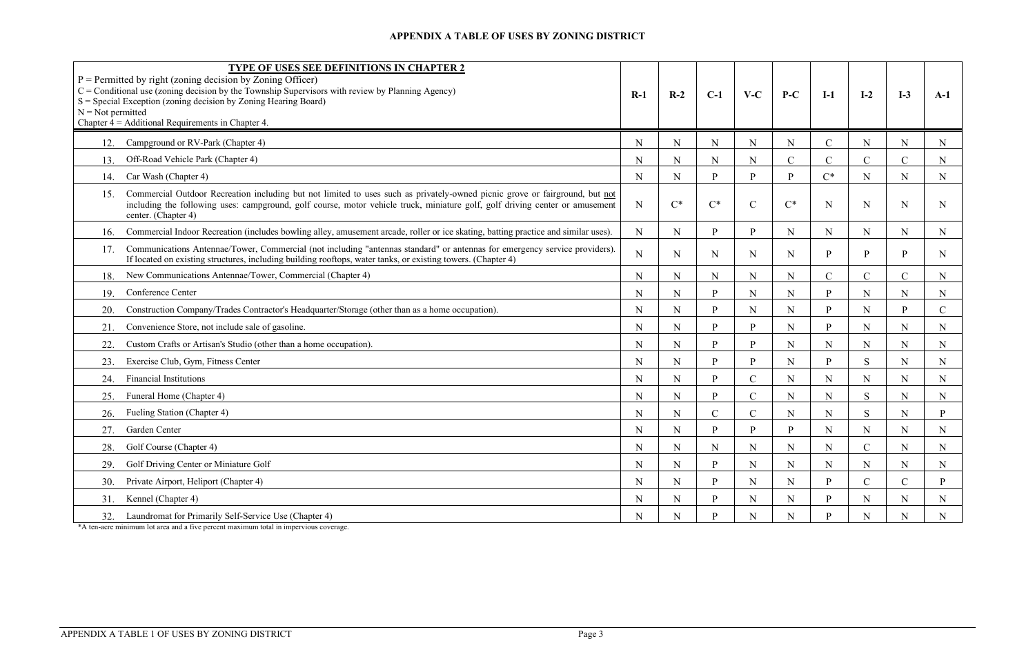| $N = Not$ permitted<br>Chapter $4 =$ Additional Requirements in Chapter 4. | <b>TYPE OF USES SEE DEFINITIONS IN CHAPTER 2</b><br>$P =$ Permitted by right (zoning decision by Zoning Officer)<br>$C =$ Conditional use (zoning decision by the Township Supervisors with review by Planning Agency)<br>$S = Special Exception (zoning decision by Zoning Hearing Board)$ | $R-1$       | $R-2$       | $C-1$        | $V-C$          | $P-C$         | $I-1$         | $I-2$          | $I-3$        | $A-1$         |
|----------------------------------------------------------------------------|---------------------------------------------------------------------------------------------------------------------------------------------------------------------------------------------------------------------------------------------------------------------------------------------|-------------|-------------|--------------|----------------|---------------|---------------|----------------|--------------|---------------|
| 12.                                                                        | Campground or RV-Park (Chapter 4)                                                                                                                                                                                                                                                           | N           | N           | ${\bf N}$    | N              | $\mathbf N$   | $\mathbf C$   | N              | $\mathbf N$  | N             |
| Off-Road Vehicle Park (Chapter 4)<br>13.                                   |                                                                                                                                                                                                                                                                                             | N           | N           | N            | N              | $\mathcal{C}$ | $\mathsf{C}$  | $\mathbf{C}$   | $\mathsf{C}$ | N             |
| Car Wash (Chapter 4)<br>14.                                                |                                                                                                                                                                                                                                                                                             | $\mathbf N$ | N           | P            | P              | $\mathbf{P}$  | $C^*$         | N              | ${\bf N}$    | N             |
| 15.<br>center. (Chapter 4)                                                 | Commercial Outdoor Recreation including but not limited to uses such as privately-owned picnic grove or fairground, but not<br>including the following uses: campground, golf course, motor vehicle truck, miniature golf, golf driving center or amusement                                 | $\mathbf N$ | $C^*$       | $C^*$        | $\overline{C}$ | $C^*$         | N             | N              | N            | N.            |
| 16.                                                                        | Commercial Indoor Recreation (includes bowling alley, amusement arcade, roller or ice skating, batting practice and similar uses).                                                                                                                                                          | $\mathbf N$ | N           | P            | P              | N             | N             | N              | $\mathbf N$  | N             |
| 17.                                                                        | Communications Antennae/Tower, Commercial (not including "antennas standard" or antennas for emergency service providers).<br>If located on existing structures, including building rooftops, water tanks, or existing towers. (Chapter 4)                                                  | ${\bf N}$   | N           | $\mathbf N$  | N              | N             | P             | <sub>p</sub>   | P            | N             |
| 18.                                                                        | New Communications Antennae/Tower, Commercial (Chapter 4)                                                                                                                                                                                                                                   | N           | N           | N            | N              | N             | $\mathcal{C}$ | $\mathcal{C}$  | $\mathsf{C}$ | N             |
| Conference Center<br>19.                                                   |                                                                                                                                                                                                                                                                                             | $\mathbf N$ | N           | P            | N              | $\mathbf N$   | D             | $\mathbf N$    | ${\bf N}$    | $\mathbf N$   |
| 20.                                                                        | Construction Company/Trades Contractor's Headquarter/Storage (other than as a home occupation).                                                                                                                                                                                             | N           | N           | P            | N              | $\mathbf N$   | D             | N              | P.           | $\mathcal{C}$ |
| 21.                                                                        | Convenience Store, not include sale of gasoline.                                                                                                                                                                                                                                            | N           | N           | $\mathbf{P}$ | P              | N             | P             | $\mathbf N$    | $\mathbf N$  | N             |
| 22.                                                                        | Custom Crafts or Artisan's Studio (other than a home occupation).                                                                                                                                                                                                                           | N           | N           | P            | P              | $\mathbf N$   | $\mathbf N$   | N              | $\mathbf N$  | N             |
| 23.                                                                        | Exercise Club, Gym, Fitness Center                                                                                                                                                                                                                                                          | N           | N           | P            | P              | N             | P             | S              | $\mathbf N$  | N             |
| <b>Financial Institutions</b><br>24.                                       |                                                                                                                                                                                                                                                                                             | N           | N           | P            | $\mathsf{C}$   | $\mathbf N$   | $\mathbf N$   | N              | $\mathbf N$  | N             |
| Funeral Home (Chapter 4)<br>25.                                            |                                                                                                                                                                                                                                                                                             | N           | N           | $\mathbf{P}$ | $\mathbf C$    | $\mathbf N$   | $\mathbf N$   | S              | ${\bf N}$    | N             |
| Fueling Station (Chapter 4)<br>26.                                         |                                                                                                                                                                                                                                                                                             | N           | N           | $\mathbf C$  | $\mathcal{C}$  | N             | N             | <sub>S</sub>   | $\mathbf N$  |               |
| Garden Center<br>27.                                                       |                                                                                                                                                                                                                                                                                             | N           | N           | <b>p</b>     | P              | P             | N             | N              | ${\bf N}$    | N             |
| Golf Course (Chapter 4)                                                    |                                                                                                                                                                                                                                                                                             | $\mathbf N$ | N           | ${\bf N}$    | N              | $\mathbf N$   | N             | $\overline{C}$ | ${\bf N}$    | $\mathbf N$   |
| 29.                                                                        | Golf Driving Center or Miniature Golf                                                                                                                                                                                                                                                       | N           | $\mathbf N$ | $\mathbf{P}$ | N              | $\mathbf N$   | $\mathbf N$   | $\mathbf N$    | $\mathbf N$  | N             |
| 30.                                                                        | Private Airport, Heliport (Chapter 4)                                                                                                                                                                                                                                                       | $\mathbf N$ | N           | $\mathbf{P}$ | N              | $\mathbf N$   | D             |                | $\mathsf{C}$ | P             |
| Kennel (Chapter 4)<br>31.                                                  |                                                                                                                                                                                                                                                                                             | N           | N           | <sub>p</sub> | N              | N             | D             | N              | $\mathbf N$  | N             |
| 32.                                                                        | Laundromat for Primarily Self-Service Use (Chapter 4)                                                                                                                                                                                                                                       | $\mathbf N$ | N           | <b>p</b>     | N              | $\mathbf N$   | D             | N              | N            | N             |

\*A ten-acre minimum lot area and a five percent maximum total in impervious coverage.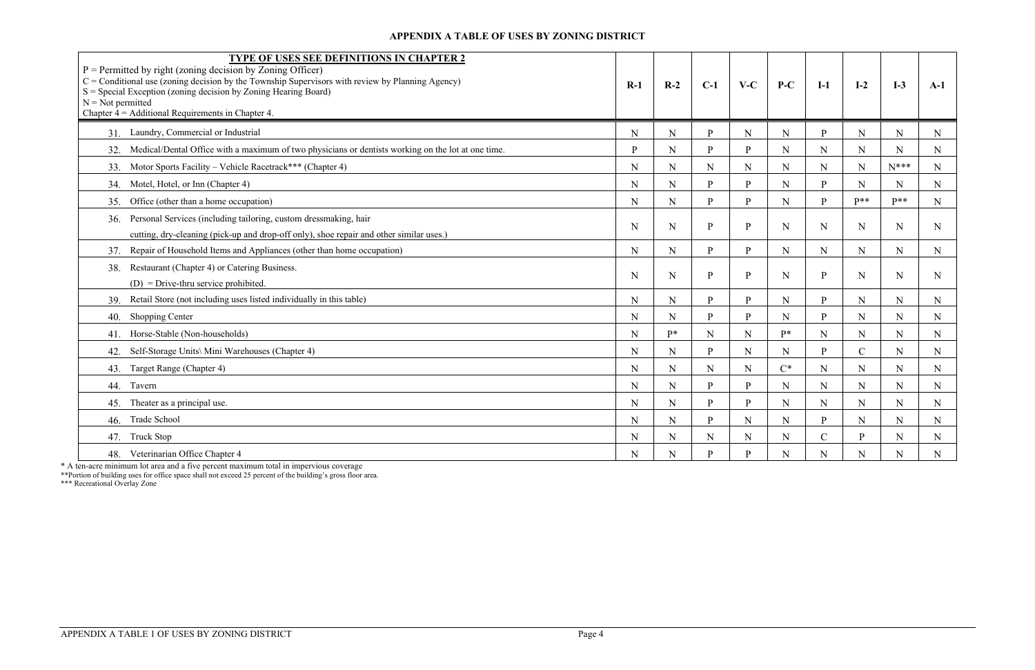| TYPE OF USES SEE DEFINITIONS IN CHAPTER 2<br>$P =$ Permitted by right (zoning decision by Zoning Officer)<br>$C =$ Conditional use (zoning decision by the Township Supervisors with review by Planning Agency)<br>$S = Special Exception (zoning decision by Zoning Hearing Board)$<br>$N = Not$ permitted<br>Chapter $4 =$ Additional Requirements in Chapter 4. | $R-1$ | $R-2$       | $C-1$        | $V-C$        | $P-C$       | $I-1$         | $I-2$         | $I-3$       | $A-1$       |
|--------------------------------------------------------------------------------------------------------------------------------------------------------------------------------------------------------------------------------------------------------------------------------------------------------------------------------------------------------------------|-------|-------------|--------------|--------------|-------------|---------------|---------------|-------------|-------------|
| Laundry, Commercial or Industrial<br>31.                                                                                                                                                                                                                                                                                                                           | N     | $\mathbf N$ | <b>P</b>     | $\mathbf N$  | $\mathbf N$ | $\mathbf{P}$  | N             | $\mathbf N$ | N           |
| Medical/Dental Office with a maximum of two physicians or dentists working on the lot at one time.<br>32.                                                                                                                                                                                                                                                          | P     | N           | <b>p</b>     | P            | $\mathbf N$ | N             | N             | N           | N           |
| Motor Sports Facility – Vehicle Racetrack*** (Chapter 4)<br>33.                                                                                                                                                                                                                                                                                                    | N     | N           | $\mathbf N$  | $\mathbf N$  | ${\bf N}$   | N             | N             | $N***$      | N           |
| Motel, Hotel, or Inn (Chapter 4)<br>34.                                                                                                                                                                                                                                                                                                                            | N     | N           | $\mathbf{p}$ | P            | $\mathbf N$ | $\mathbf{P}$  | N             | $\mathbf N$ | N           |
| Office (other than a home occupation)<br>35.                                                                                                                                                                                                                                                                                                                       | N     | N           | <b>p</b>     | <sub>p</sub> | $\mathbf N$ | P             | $p**$         | $P**$       | N           |
| Personal Services (including tailoring, custom dressmaking, hair<br>36.<br>cutting, dry-cleaning (pick-up and drop-off only), shoe repair and other similar uses.)                                                                                                                                                                                                 | N     | N           | P            | $\mathbf{P}$ | ${\bf N}$   | N             | N             | $\mathbf N$ | N           |
| Repair of Household Items and Appliances (other than home occupation)<br>37.                                                                                                                                                                                                                                                                                       | N     | N           | <b>p</b>     | P            | ${\bf N}$   | $\mathbf N$   | $\mathbf N$   | $\mathbf N$ | N           |
| Restaurant (Chapter 4) or Catering Business.<br>38.<br>$(D)$ = Drive-thru service prohibited.                                                                                                                                                                                                                                                                      | N     | N           | P            | $\mathbf{P}$ | $\mathbf N$ | $\mathbf{P}$  | N             | $\mathbf N$ | N.          |
| Retail Store (not including uses listed individually in this table)<br>39.                                                                                                                                                                                                                                                                                         | N     | N           | <b>p</b>     | P            | ${\bf N}$   | $\mathbf{P}$  | $\mathbf N$   | ${\bf N}$   | N           |
| <b>Shopping Center</b><br>40.                                                                                                                                                                                                                                                                                                                                      | N     | N           | D            | P            | $\mathbf N$ | $\mathbf{P}$  | N             | ${\bf N}$   | N           |
| Horse-Stable (Non-households)<br>41.                                                                                                                                                                                                                                                                                                                               | N     | $P*$        | $\mathbf N$  | $\mathbf N$  | $P^*$       | N             | $\mathbf N$   | $\mathbf N$ | N           |
| Self-Storage Units\ Mini Warehouses (Chapter 4)<br>42.                                                                                                                                                                                                                                                                                                             | N     | N           | P.           | $\mathbf N$  | $\mathbf N$ | $\mathbf{P}$  | $\mathcal{C}$ | $\mathbf N$ | N           |
| Target Range (Chapter 4)<br>43.                                                                                                                                                                                                                                                                                                                                    | N     | N           | $\mathbf N$  | $\mathbf N$  | $C^*$       | N             | N             | $\mathbf N$ | N           |
| Tavern<br>44.                                                                                                                                                                                                                                                                                                                                                      | N     | $\mathbf N$ | <b>p</b>     | <b>P</b>     | $\mathbf N$ | N             | $\mathbf N$   | $\mathbf N$ | N           |
| Theater as a principal use.<br>45.                                                                                                                                                                                                                                                                                                                                 | N     | $\mathbf N$ | D            | $\mathbf{p}$ | ${\bf N}$   | N             | $\mathbf N$   | $\mathbf N$ | $\mathbf N$ |
| Trade School<br>46.                                                                                                                                                                                                                                                                                                                                                | N     | N           | $\mathbf{p}$ | $\mathbf N$  | N           | $\mathbf{P}$  | N             | $\mathbf N$ | $\mathbf N$ |
| <b>Truck Stop</b><br>47.                                                                                                                                                                                                                                                                                                                                           | N     | N           | N            | ${\bf N}$    | $\mathbf N$ | $\mathcal{C}$ | P             | N           | N           |
| 48. Veterinarian Office Chapter 4                                                                                                                                                                                                                                                                                                                                  | N     | N           | D.           | P            | $\mathbf N$ | N             | N             | $\mathbf N$ |             |

\* A ten-acre minimum lot area and a five percent maximum total in impervious coverage

\*\*Portion of building uses for office space shall not exceed 25 percent of the building's gross floor area.

\*\*\* Recreational Overlay Zone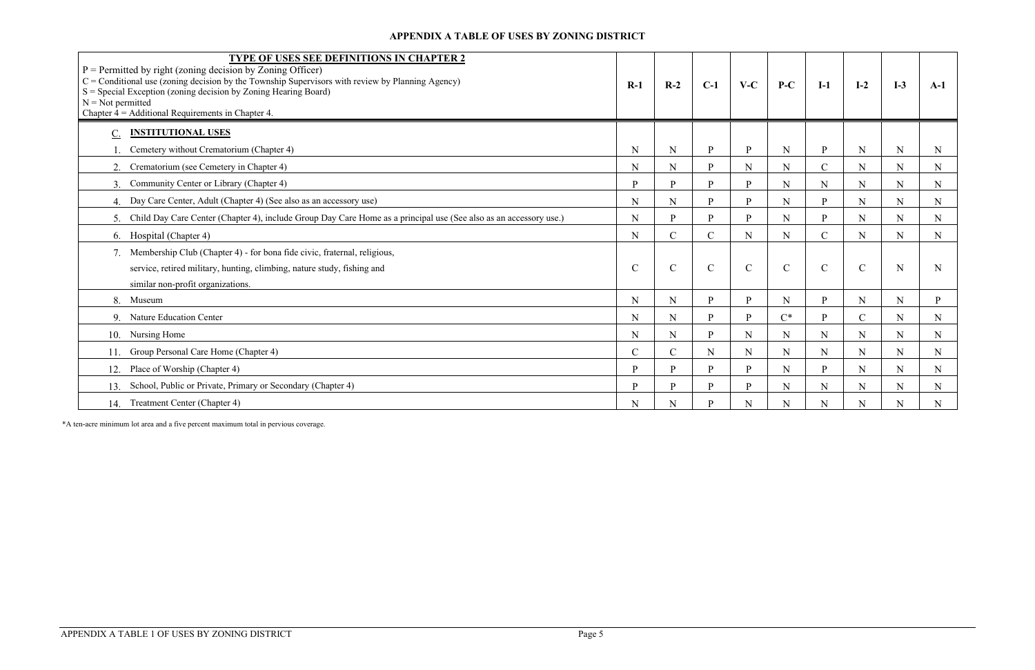| <b>TYPE OF USES SEE DEFINITIONS IN CHAPTER 2</b><br>$P =$ Permitted by right (zoning decision by Zoning Officer)<br>$C =$ Conditional use (zoning decision by the Township Supervisors with review by Planning Agency)<br>$S = Special Exception (zoning decision by Zoning Hearing Board)$<br>$N = Not$ permitted<br>Chapter $4 =$ Additional Requirements in Chapter 4. | $R-1$         | $R-2$         | $C-1$        | $V-C$         | $P-C$       | $I-1$         | $I-2$          | $I-3$       | $A-1$       |
|---------------------------------------------------------------------------------------------------------------------------------------------------------------------------------------------------------------------------------------------------------------------------------------------------------------------------------------------------------------------------|---------------|---------------|--------------|---------------|-------------|---------------|----------------|-------------|-------------|
| <b>INSTITUTIONAL USES</b><br>$\underline{C}$ .                                                                                                                                                                                                                                                                                                                            |               |               |              |               |             |               |                |             |             |
| Cemetery without Crematorium (Chapter 4)                                                                                                                                                                                                                                                                                                                                  | $\mathbf N$   | ${\bf N}$     | <sub>p</sub> | P             | N           | $\mathbf{P}$  | $\mathbf N$    | $\mathbf N$ | N           |
| Crematorium (see Cemetery in Chapter 4)<br>2.                                                                                                                                                                                                                                                                                                                             | $\mathbf N$   | ${\bf N}$     | $\mathbf{p}$ | $\mathbf N$   | ${\bf N}$   | $\mathbf C$   | ${\bf N}$      | $\mathbf N$ | $\mathbf N$ |
| 3. Community Center or Library (Chapter 4)                                                                                                                                                                                                                                                                                                                                | $\mathbf{P}$  | <b>P</b>      | D.           | P             | N           | N             | N              | N           | N           |
| 4. Day Care Center, Adult (Chapter 4) (See also as an accessory use)                                                                                                                                                                                                                                                                                                      | N             | N             | D            | P             | N           | P             | N              | $\mathbf N$ | N           |
| 5. Child Day Care Center (Chapter 4), include Group Day Care Home as a principal use (See also as an accessory use.)                                                                                                                                                                                                                                                      | N             | <b>p</b>      | <b>p</b>     | P             | N           | P             | N              | $\mathbf N$ | $\mathbf N$ |
| 6. Hospital (Chapter 4)                                                                                                                                                                                                                                                                                                                                                   | N             | $\mathcal{C}$ | $\mathbf{C}$ | N             | N           | $\mathbf C$   | N              | $\mathbf N$ | $\mathbf N$ |
| 7. Membership Club (Chapter 4) - for bona fide civic, fraternal, religious,                                                                                                                                                                                                                                                                                               |               |               |              |               |             |               |                |             |             |
| service, retired military, hunting, climbing, nature study, fishing and                                                                                                                                                                                                                                                                                                   | $\mathcal{C}$ | $\mathcal{C}$ | $\mathbf C$  | $\mathcal{C}$ | $\mathbf C$ | $\mathcal{C}$ | $\mathcal{C}$  | N           | N           |
| similar non-profit organizations.                                                                                                                                                                                                                                                                                                                                         |               |               |              |               |             |               |                |             |             |
| 8. Museum                                                                                                                                                                                                                                                                                                                                                                 | N             | ${\bf N}$     | D.           | P             | $\mathbf N$ | P             | N              | $\mathbf N$ | <b>P</b>    |
| 9. Nature Education Center                                                                                                                                                                                                                                                                                                                                                | $\mathbf N$   | N             | D            | <b>p</b>      | $C^*$       | <b>p</b>      | $\overline{C}$ | $\mathbf N$ | $\mathbf N$ |
| 10. Nursing Home                                                                                                                                                                                                                                                                                                                                                          | $\mathbf N$   | N             | <b>D</b>     | N             | N           | N             | N              | $\mathbf N$ | N           |
| Group Personal Care Home (Chapter 4)<br>11.                                                                                                                                                                                                                                                                                                                               | $\mathbf C$   | $\mathcal{C}$ | $\mathbf N$  | $\mathbf N$   | N           | $\mathbf N$   | N              | $\mathbf N$ | N           |
| 12. Place of Worship (Chapter 4)                                                                                                                                                                                                                                                                                                                                          | P             | <b>P</b>      | D.           | <b>P</b>      | $\mathbf N$ | P             | N              | $\mathbf N$ | N           |
| School, Public or Private, Primary or Secondary (Chapter 4)<br>13.                                                                                                                                                                                                                                                                                                        | P             | <b>P</b>      | D            | <b>p</b>      | N           | N             | N              | $\mathbf N$ | N           |
| Treatment Center (Chapter 4)<br>14.                                                                                                                                                                                                                                                                                                                                       | N             | N             | D            | N             | N           | N             | N              | N           | N           |

\*A ten-acre minimum lot area and a five percent maximum total in pervious coverage.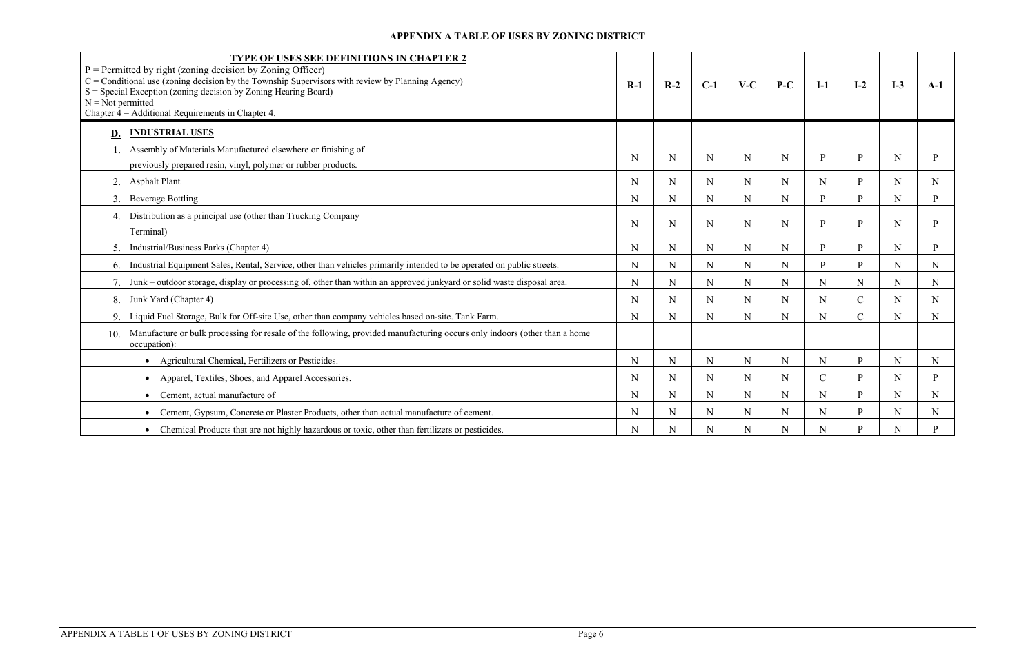| <b>TYPE OF USES SEE DEFINITIONS IN CHAPTER 2</b><br>$P =$ Permitted by right (zoning decision by Zoning Officer)<br>$C =$ Conditional use (zoning decision by the Township Supervisors with review by Planning Agency)<br>$S = Special Exception (zoning decision by Zoning Hearing Board)$<br>$N = Not$ permitted<br>Chapter $4 =$ Additional Requirements in Chapter 4. | $R-1$       | $R-2$       | $C-1$       | $V-C$       | $P-C$       | $I-1$         | $I-2$          | $I-3$       | $A-1$        |
|---------------------------------------------------------------------------------------------------------------------------------------------------------------------------------------------------------------------------------------------------------------------------------------------------------------------------------------------------------------------------|-------------|-------------|-------------|-------------|-------------|---------------|----------------|-------------|--------------|
| <b>INDUSTRIAL USES</b><br>D.                                                                                                                                                                                                                                                                                                                                              |             |             |             |             |             |               |                |             |              |
| Assembly of Materials Manufactured elsewhere or finishing of<br>previously prepared resin, vinyl, polymer or rubber products.                                                                                                                                                                                                                                             | N           | N           | N           | N           | N           | P             | P              | N           |              |
| 2. Asphalt Plant                                                                                                                                                                                                                                                                                                                                                          | N           | N           | N           | N           | N           | N             | D              | N           | N            |
| 3. Beverage Bottling                                                                                                                                                                                                                                                                                                                                                      | $\mathbf N$ | ${\bf N}$   | $\mathbf N$ | $\mathbf N$ | $\mathbf N$ | $\mathbf{P}$  | $\mathbf{p}$   | N           | D            |
| Distribution as a principal use (other than Trucking Company<br>4.<br>Terminal)                                                                                                                                                                                                                                                                                           | $\mathbf N$ | N           | N           | N           | N           | $\mathbf{P}$  | P              | N           |              |
| 5. Industrial/Business Parks (Chapter 4)                                                                                                                                                                                                                                                                                                                                  | $\mathbf N$ | ${\bf N}$   | $\mathbf N$ | $\mathbf N$ | N           | $\mathbf{P}$  | D              | N           | D            |
| 6. Industrial Equipment Sales, Rental, Service, other than vehicles primarily intended to be operated on public streets.                                                                                                                                                                                                                                                  | $\mathbf N$ | $\mathbf N$ | N           | N           | N           | P             | <b>p</b>       | N           | $\mathbf N$  |
| Junk – outdoor storage, display or processing of, other than within an approved junkyard or solid waste disposal area.                                                                                                                                                                                                                                                    | N           | $\mathbf N$ | N           | $\mathbf N$ | N           | $\mathbf N$   | N              | N           | N            |
| Junk Yard (Chapter 4)<br>8.                                                                                                                                                                                                                                                                                                                                               | $\mathbf N$ | ${\bf N}$   | $\mathbf N$ | $\mathbf N$ | $\mathbf N$ | $\mathbf N$   | $\mathbf C$    | ${\bf N}$   | $\mathbf N$  |
| 9. Liquid Fuel Storage, Bulk for Off-site Use, other than company vehicles based on-site. Tank Farm.                                                                                                                                                                                                                                                                      | N           | N           | N           | N           | N           | N             | $\overline{C}$ | N           | N            |
| Manufacture or bulk processing for resale of the following, provided manufacturing occurs only indoors (other than a home<br>10.<br>occupation):                                                                                                                                                                                                                          |             |             |             |             |             |               |                |             |              |
| Agricultural Chemical, Fertilizers or Pesticides.                                                                                                                                                                                                                                                                                                                         | $\mathbf N$ | ${\bf N}$   | $\mathbf N$ | N           | $\mathbf N$ | $\mathbf N$   | <b>P</b>       | $\mathbf N$ | $\mathbf N$  |
| Apparel, Textiles, Shoes, and Apparel Accessories.                                                                                                                                                                                                                                                                                                                        | $\mathbf N$ | ${\bf N}$   | N           | $\mathbf N$ | N           | $\mathcal{C}$ | <b>p</b>       | ${\bf N}$   | <sup>D</sup> |
| Cement, actual manufacture of                                                                                                                                                                                                                                                                                                                                             | N           | N           | N           | N           | N           | N             | <b>p</b>       | N           | N            |
| Cement, Gypsum, Concrete or Plaster Products, other than actual manufacture of cement.                                                                                                                                                                                                                                                                                    | $\mathbf N$ | $\mathbf N$ | $\mathbf N$ | $\mathbf N$ | N           | ${\bf N}$     | D              | $\mathbf N$ | $\mathbf N$  |
| Chemical Products that are not highly hazardous or toxic, other than fertilizers or pesticides.                                                                                                                                                                                                                                                                           | $\mathbf N$ | N           | N           | N           | N           | $\mathbf N$   | D              | N           |              |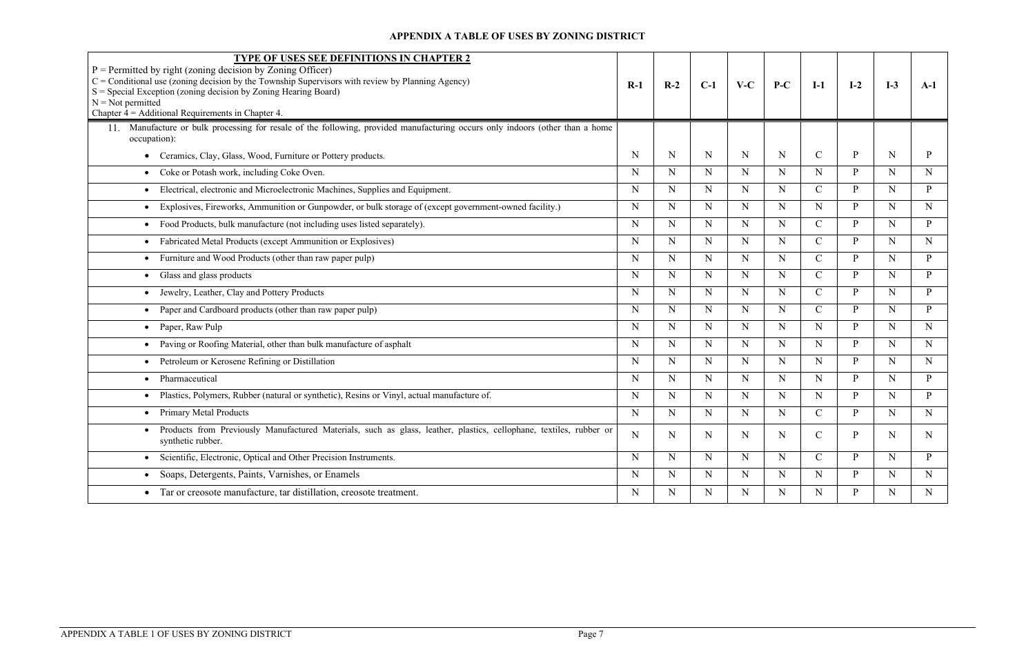| <b>TYPE OF USES SEE DEFINITIONS IN CHAPTER 2</b><br>$P =$ Permitted by right (zoning decision by Zoning Officer)<br>$C =$ Conditional use (zoning decision by the Township Supervisors with review by Planning Agency)<br>S = Special Exception (zoning decision by Zoning Hearing Board)<br>$N = Not$ permitted<br>Chapter $4 =$ Additional Requirements in Chapter 4. | $R-1$       | $R-2$       | $C-1$       | $V-C$       | $P-C$       | $I-1$         | $I-2$        | $I-3$       | $A-1$        |
|-------------------------------------------------------------------------------------------------------------------------------------------------------------------------------------------------------------------------------------------------------------------------------------------------------------------------------------------------------------------------|-------------|-------------|-------------|-------------|-------------|---------------|--------------|-------------|--------------|
| Manufacture or bulk processing for resale of the following, provided manufacturing occurs only indoors (other than a home<br>occupation):                                                                                                                                                                                                                               |             |             |             |             |             |               |              |             |              |
| Ceramics, Clay, Glass, Wood, Furniture or Pottery products.                                                                                                                                                                                                                                                                                                             | N           | N           | N           | N           | N           | $\mathcal{C}$ | P            | N           | P            |
| Coke or Potash work, including Coke Oven.<br>$\bullet$                                                                                                                                                                                                                                                                                                                  | N           | N           | N           | N           | N           | N             | P            | N           | N            |
| Electrical, electronic and Microelectronic Machines, Supplies and Equipment.                                                                                                                                                                                                                                                                                            | N           | N           | N           | N           | N           | $\mathcal{C}$ | P            | $\mathbf N$ | P            |
| Explosives, Fireworks, Ammunition or Gunpowder, or bulk storage of (except government-owned facility.)<br>$\bullet$                                                                                                                                                                                                                                                     | N           | N           | $\mathbf N$ | N           | N           | N             | P            | N           | $\mathbf N$  |
| Food Products, bulk manufacture (not including uses listed separately).<br>$\bullet$                                                                                                                                                                                                                                                                                    | N           | N           | $\mathbf N$ | N           | $\mathbf N$ | $\mathcal{C}$ | P            | N           | P            |
| Fabricated Metal Products (except Ammunition or Explosives)                                                                                                                                                                                                                                                                                                             | N           | N           | N           | N           | N           | $\mathcal{C}$ | P            | N           | N            |
| Furniture and Wood Products (other than raw paper pulp)                                                                                                                                                                                                                                                                                                                 | N           | $\mathbf N$ | N           | N           | $\mathbf N$ | $\mathcal{C}$ | P            | N           | P            |
| Glass and glass products<br>$\bullet$                                                                                                                                                                                                                                                                                                                                   | N           | N           | $\mathbf N$ | N           | N           | $\mathcal{C}$ | P            | N           | P.           |
| • Jewelry, Leather, Clay and Pottery Products                                                                                                                                                                                                                                                                                                                           | N           | N           | $\mathbf N$ | N           | N           | $\mathcal{C}$ | P            | N           | P            |
| Paper and Cardboard products (other than raw paper pulp)                                                                                                                                                                                                                                                                                                                | N           | $\mathbf N$ | $\mathbf N$ | $\mathbf N$ | $\mathbf N$ | $\mathcal{C}$ | P            | $\mathbf N$ | $\mathbf{P}$ |
| Paper, Raw Pulp<br>$\bullet$                                                                                                                                                                                                                                                                                                                                            | N           | N           | $\mathbf N$ | N           | $\mathbf N$ | N             | P            | N           | $\mathbf N$  |
| Paving or Roofing Material, other than bulk manufacture of asphalt                                                                                                                                                                                                                                                                                                      | N           | $\mathbf N$ | $\mathbf N$ | N           | $\mathbf N$ | N             | P            | N           | $\mathbf N$  |
| Petroleum or Kerosene Refining or Distillation<br>$\bullet$                                                                                                                                                                                                                                                                                                             | N           | N           | N           | N           | $\mathbf N$ | N             | P            | N           | $\mathbf N$  |
| Pharmaceutical<br>$\bullet$                                                                                                                                                                                                                                                                                                                                             | N           | $\mathbf N$ | $\mathbf N$ | $\mathbf N$ | $\mathbf N$ | N             | P            | N           | $\mathbf{P}$ |
| Plastics, Polymers, Rubber (natural or synthetic), Resins or Vinyl, actual manufacture of.                                                                                                                                                                                                                                                                              | N           | N           | N           | N           | N           | N             | P            | N           | P            |
| <b>Primary Metal Products</b>                                                                                                                                                                                                                                                                                                                                           | N           | N           | $\mathbf N$ | N           | N           | $\mathbf C$   | P            | N           | $\mathbf N$  |
| Products from Previously Manufactured Materials, such as glass, leather, plastics, cellophane, textiles, rubber or<br>synthetic rubber.                                                                                                                                                                                                                                 | N           | N           | N           | N           | N           | $\mathcal{C}$ | P            | N           | N            |
| • Scientific, Electronic, Optical and Other Precision Instruments.                                                                                                                                                                                                                                                                                                      | N           | N           | $\mathbf N$ | $N_{\rm}$   | $\mathbf N$ | $\mathsf{C}$  | $\mathbf{P}$ | $\mathbf N$ | P            |
| • Soaps, Detergents, Paints, Varnishes, or Enamels                                                                                                                                                                                                                                                                                                                      | $\mathbf N$ | N           | N           | N           | $\mathbf N$ | $\mathbf N$   | P            | N           | N            |
| • Tar or creosote manufacture, tar distillation, creosote treatment.                                                                                                                                                                                                                                                                                                    | $\mathbf N$ | $N_{\rm}$   | N           | N           | N           | $\mathbf N$   | P            | N           | $\mathbf N$  |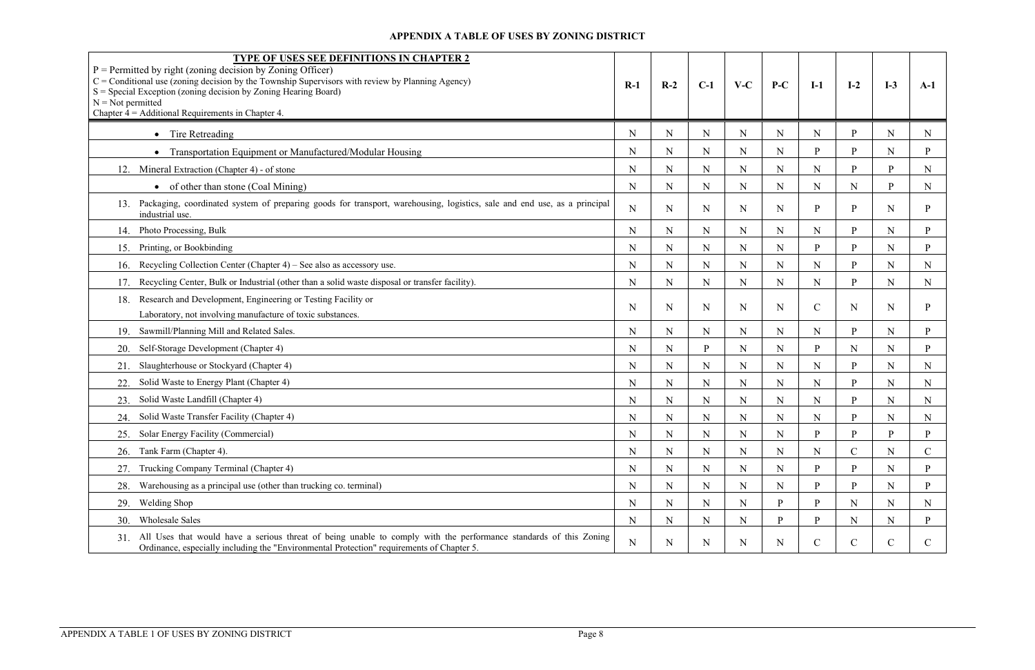| TYPE OF USES SEE DEFINITIONS IN CHAPTER 2<br>$P =$ Permitted by right (zoning decision by Zoning Officer)<br>$C =$ Conditional use (zoning decision by the Township Supervisors with review by Planning Agency)<br>$S = Special Exception (zoning decision by Zoning Hearing Board)$<br>$N = Not$ permitted<br>Chapter $4 =$ Additional Requirements in Chapter 4. | $R-1$       | $R-2$       | $C-1$       | $V-C$       | $P-C$        | $I-1$        | $I-2$         | $I-3$       | $A-1$        |
|--------------------------------------------------------------------------------------------------------------------------------------------------------------------------------------------------------------------------------------------------------------------------------------------------------------------------------------------------------------------|-------------|-------------|-------------|-------------|--------------|--------------|---------------|-------------|--------------|
| • Tire Retreading                                                                                                                                                                                                                                                                                                                                                  | N           | $\mathbf N$ | N           | N           | N            | N            | P             | $\mathbf N$ | N            |
| Transportation Equipment or Manufactured/Modular Housing                                                                                                                                                                                                                                                                                                           | N           | ${\bf N}$   | N           | $\mathbf N$ | $\mathbf N$  | $\mathbf{P}$ | P             | $\mathbf N$ | P            |
| Mineral Extraction (Chapter 4) - of stone<br>12.                                                                                                                                                                                                                                                                                                                   | N           | N           | N           | N           | N            | N            | <sub>p</sub>  | P.          | N            |
| • of other than stone (Coal Mining)                                                                                                                                                                                                                                                                                                                                | N           | ${\bf N}$   | N           | N           | $\mathbf N$  | N            | N             | P           | N            |
| Packaging, coordinated system of preparing goods for transport, warehousing, logistics, sale and end use, as a principal<br>13.<br>industrial use.                                                                                                                                                                                                                 | N           | $\mathbf N$ | N           | N           | $\mathbf N$  | P            | P             | $\mathbf N$ |              |
| Photo Processing, Bulk<br>14.                                                                                                                                                                                                                                                                                                                                      | N           | N           | N           | N           | N            | N            | <sub>p</sub>  | N           | P.           |
| Printing, or Bookbinding<br>15.                                                                                                                                                                                                                                                                                                                                    | N           | $\mathbf N$ | N           | N           | N            | $\mathbf{P}$ | P             | $\mathbf N$ | P            |
| Recycling Collection Center (Chapter 4) – See also as accessory use.<br>16.                                                                                                                                                                                                                                                                                        | N           | $\mathbf N$ | N           | N           | N            | N            | <b>P</b>      | $\mathbf N$ | N            |
| Recycling Center, Bulk or Industrial (other than a solid waste disposal or transfer facility).                                                                                                                                                                                                                                                                     | $\mathbf N$ | ${\bf N}$   | $\mathbf N$ | $\mathbf N$ | $\mathbf N$  | N            | <b>p</b>      | $\mathbf N$ | N            |
| Research and Development, Engineering or Testing Facility or<br>18.<br>Laboratory, not involving manufacture of toxic substances.                                                                                                                                                                                                                                  | N           | N           | N           | N           | N            | $\mathbf C$  | N             | N           |              |
| Sawmill/Planning Mill and Related Sales.<br>19.                                                                                                                                                                                                                                                                                                                    | N           | N           | N           | N           | N            | N            | <b>p</b>      | $\mathbf N$ | P            |
| Self-Storage Development (Chapter 4)<br>20.                                                                                                                                                                                                                                                                                                                        | N           | ${\bf N}$   | <b>p</b>    | $\mathbf N$ | ${\bf N}$    | P            | N             | $\mathbf N$ | p            |
| Slaughterhouse or Stockyard (Chapter 4)<br>21.                                                                                                                                                                                                                                                                                                                     | N           | ${\bf N}$   | $\mathbf N$ | $\mathbf N$ | $\mathbf N$  | N            | <b>p</b>      | $\mathbf N$ | $\mathbf N$  |
| Solid Waste to Energy Plant (Chapter 4)<br>22.                                                                                                                                                                                                                                                                                                                     | N           | N           | N           | N           | $\mathbf N$  | N            | <b>p</b>      | $\mathbf N$ | N            |
| Solid Waste Landfill (Chapter 4)<br>23.                                                                                                                                                                                                                                                                                                                            | N           | $\mathbf N$ | N           | N           | $\mathbf N$  | N            | P             | $\mathbf N$ | N            |
| Solid Waste Transfer Facility (Chapter 4)<br>24.                                                                                                                                                                                                                                                                                                                   | N           | N           | N           | N           | N            | N            | <b>p</b>      | N           | N            |
| Solar Energy Facility (Commercial)                                                                                                                                                                                                                                                                                                                                 | N           | N           | N           | N           | N            | P            | D             | D           | P            |
| Tank Farm (Chapter 4).<br>26.                                                                                                                                                                                                                                                                                                                                      | N           | N           | N           | N           | $\mathbf N$  | N            | $\mathcal{C}$ | N           | $\mathbf C$  |
| Trucking Company Terminal (Chapter 4)<br>27.                                                                                                                                                                                                                                                                                                                       | N           | N           | N           | N           | $\mathbf N$  | P            | P.            | $\mathbf N$ | P.           |
| Warehousing as a principal use (other than trucking co. terminal)<br>28.                                                                                                                                                                                                                                                                                           | N           | $\mathbf N$ | N           | N           | $\mathbf N$  | P            | <b>p</b>      | $\mathbf N$ | P            |
| Welding Shop<br>29.                                                                                                                                                                                                                                                                                                                                                | N           | N           | N           | N           | $\mathbf{P}$ | P            | N             | $\mathbf N$ | N            |
| <b>Wholesale Sales</b><br>30.                                                                                                                                                                                                                                                                                                                                      | N           | N           | N           | N           | $\mathbf{P}$ | P            | N             | N           | P            |
| 31. All Uses that would have a serious threat of being unable to comply with the performance standards of this Zoning<br>Ordinance, especially including the "Environmental Protection" requirements of Chapter 5.                                                                                                                                                 | ${\bf N}$   | N           | N           | N           | $\mathbf N$  | $\mathbf C$  | $\mathcal{C}$ | $\mathbf C$ | $\mathsf{C}$ |